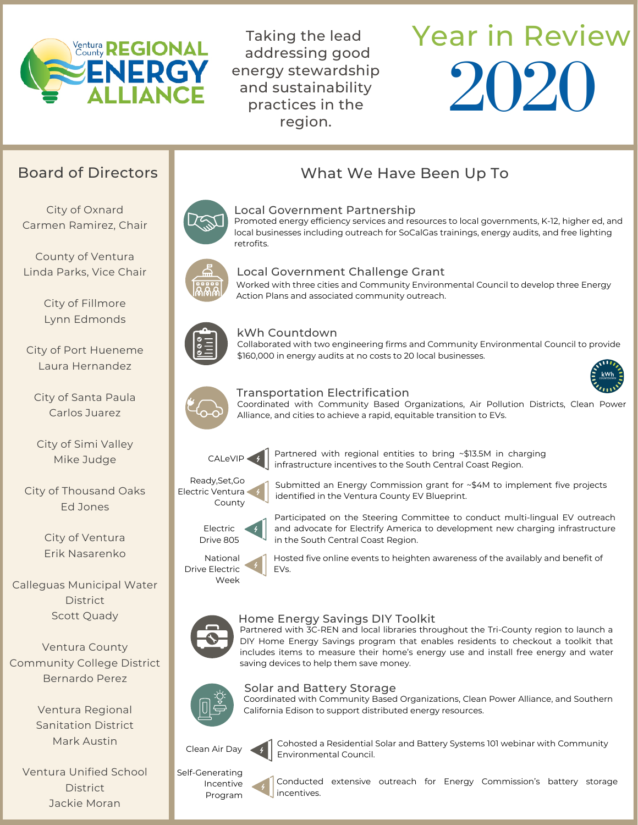

Taking the lead addressing good energy stewardship and sustainability practices in the region.

# Year in Review 2020

City of Oxnard Carmen Ramirez, Chair

County of Ventura Linda Parks, Vice Chair

> City of Fillmore Lynn Edmonds

City of Port Hueneme Laura Hernandez

City of Santa Paula Carlos Juarez

City of Simi Valley Mike Judge

City of Thousand Oaks Ed Jones

> City of Ventura Erik Nasarenko

Calleguas Municipal Water **District** Scott Quady

Ventura County Community College District Bernardo Perez

> Ventura Regional Sanitation District Mark Austin

Ventura Unified School **District** Jackie Moran

## Board of Directors **Board of Directors** Number 2012 What We Have Been Up To



#### Local Government Partnership

Promoted energy efficiency services and resources to local governments, K-12, higher ed, and local businesses including outreach for SoCalGas trainings, energy audits, and free lighting retrofits.



#### Local Government Challenge Grant

Worked with three cities and Community Environmental Council to develop three Energy Action Plans and associated community outreach.



#### kWh Countdown

Collaborated with two engineering firms and Community Environmental Council to provide \$160,000 in energy audits at no costs to 20 local businesses.



#### Transportation Electrification

Coordinated with Community Based Organizations, Air Pollution Districts, Clean Power Alliance, and cities to achieve a rapid, equitable transition to EVs.



Partnered with regional entities to bring ~\$13.5M in charging infrastructure incentives to the South Central Coast Region.

identified in the Ventura County EV Blueprint.

Ready,Set,Go Electric Ventura County



Participated on the Steering Committee to conduct multi-lingual EV outreach and advocate for Electrify America to development new charging infrastructure in the South Central Coast Region.

Submitted an Energy Commission grant for ~\$4M to implement five projects



Drive 805

Hosted five online events to heighten awareness of the availably and benefit of EVs.



#### Home Energy Savings DIY Toolkit

Partnered with 3C-REN and local libraries throughout the Tri-County region to launch a DIY Home Energy Savings program that enables residents to checkout a toolkit that includes items to measure their home's energy use and install free energy and water saving devices to help them save money.



#### Solar and Battery Storage

Coordinated with Community Based Organizations, Clean Power Alliance, and Southern California Edison to support distributed energy resources.



Self-Generating Incentive Program

Cohosted a Residential Solar and Battery Systems 101 webinar with Community Environmental Council.

Conducted extensive outreach for Energy Commission's battery storage incentives.